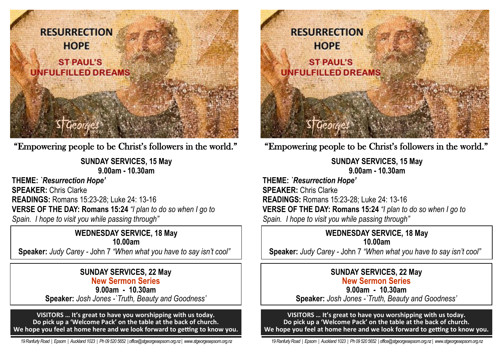

"Empowering people to be Christ's followers in the world."

**SUNDAY SERVICES, 15 May 9.00am - 10.30am** 

**THEME:** *`Resurrection Hope'* **SPEAKER:** Chris Clarke **READINGS:** Romans 15:23-28; Luke 24: 13-16 **VERSE OF THE DAY: Romans 15:24** *"I plan to do so when I go to Spain. I hope to visit you while passing through"*

> **WEDNESDAY SERVICE, 18 May 10.00am**

**Speaker:** *Judy Carey -* John 7 *"When what you have to say isn't cool"* 

## **SUNDAY SERVICES, 22 May New Sermon Series**

**9.00am - 10.30am Speaker:** *Josh Jones -`Truth, Beauty and Goodness'*

**VISITORS … It's great to have you worshipping with us today. Do pick up a 'Welcome Pack' on the table at the back of church. We hope you feel at home here and we look forward to getting to know you.**

 *19 Ranfurly Road | Epsom | Auckland 1023 | Ph 09 520 5652 | office@stgeorgesepsom.org.nz | www.stgeorgesepsom.org.nz* 



"Empowering people to be Christ's followers in the world."

**SUNDAY SERVICES, 15 May 9.00am - 10.30am** 

**THEME:** *`Resurrection Hope'* **SPEAKER:** Chris Clarke **READINGS:** Romans 15:23-28; Luke 24: 13-16 **VERSE OF THE DAY: Romans 15:24** *"I plan to do so when I go to Spain. I hope to visit you while passing through"*

> **WEDNESDAY SERVICE, 18 May 10.00am**

**Speaker:** *Judy Carey -* John 7 *"When what you have to say isn't cool"* 

### **SUNDAY SERVICES, 22 May New Sermon Series**

**9.00am - 10.30am Speaker:** *Josh Jones -`Truth, Beauty and Goodness'*

**VISITORS … It's great to have you worshipping with us today. Do pick up a 'Welcome Pack' on the table at the back of church. We hope you feel at home here and we look forward to getting to know you.**

 *19 Ranfurly Road | Epsom | Auckland 1023 | Ph 09 520 5652 | office@stgeorgesepsom.org.nz | www.stgeorgesepsom.org.nz*